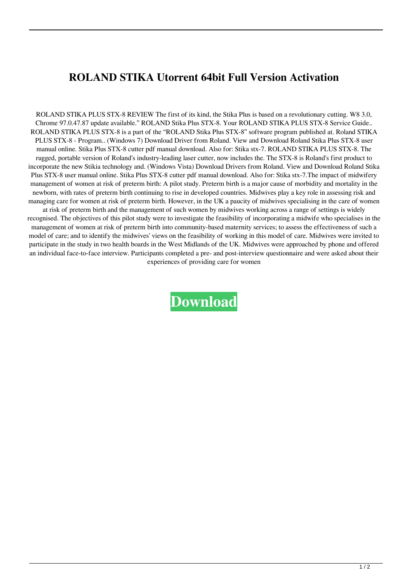## **ROLAND STIKA Utorrent 64bit Full Version Activation**

ROLAND STIKA PLUS STX-8 REVIEW The first of its kind, the Stika Plus is based on a revolutionary cutting. W8 3.0, Chrome 97.0.47.87 update available." ROLAND Stika Plus STX-8. Your ROLAND STIKA PLUS STX-8 Service Guide.. ROLAND STIKA PLUS STX-8 is a part of the "ROLAND Stika Plus STX-8" software program published at. Roland STIKA PLUS STX-8 - Program.. (Windows 7) Download Driver from Roland. View and Download Roland Stika Plus STX-8 user manual online. Stika Plus STX-8 cutter pdf manual download. Also for: Stika stx-7. ROLAND STIKA PLUS STX-8. The rugged, portable version of Roland's industry-leading laser cutter, now includes the. The STX-8 is Roland's first product to incorporate the new Stikia technology and. (Windows Vista) Download Drivers from Roland. View and Download Roland Stika Plus STX-8 user manual online. Stika Plus STX-8 cutter pdf manual download. Also for: Stika stx-7.The impact of midwifery management of women at risk of preterm birth: A pilot study. Preterm birth is a major cause of morbidity and mortality in the newborn, with rates of preterm birth continuing to rise in developed countries. Midwives play a key role in assessing risk and managing care for women at risk of preterm birth. However, in the UK a paucity of midwives specialising in the care of women at risk of preterm birth and the management of such women by midwives working across a range of settings is widely recognised. The objectives of this pilot study were to investigate the feasibility of incorporating a midwife who specialises in the management of women at risk of preterm birth into community-based maternity services; to assess the effectiveness of such a model of care; and to identify the midwives' views on the feasibility of working in this model of care. Midwives were invited to participate in the study in two health boards in the West Midlands of the UK. Midwives were approached by phone and offered an individual face-to-face interview. Participants completed a pre- and post-interview questionnaire and were asked about their experiences of providing care for women